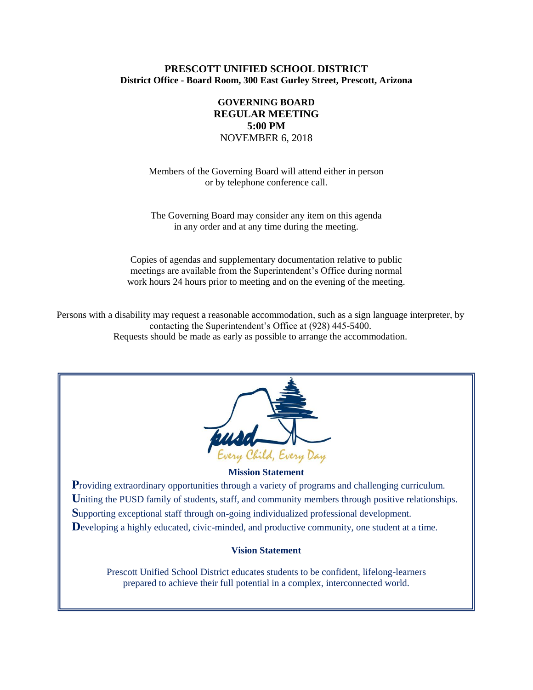## **PRESCOTT UNIFIED SCHOOL DISTRICT District Office - Board Room, 300 East Gurley Street, Prescott, Arizona**

# **GOVERNING BOARD REGULAR MEETING 5:00 PM** NOVEMBER 6, 2018

Members of the Governing Board will attend either in person or by telephone conference call.

The Governing Board may consider any item on this agenda in any order and at any time during the meeting.

Copies of agendas and supplementary documentation relative to public meetings are available from the Superintendent's Office during normal work hours 24 hours prior to meeting and on the evening of the meeting.

Persons with a disability may request a reasonable accommodation, such as a sign language interpreter, by contacting the Superintendent's Office at (928) 445-5400. Requests should be made as early as possible to arrange the accommodation.



#### **Mission Statement**

**Providing extraordinary opportunities through a variety of programs and challenging curriculum.** Uniting the PUSD family of students, staff, and community members through positive relationships. **S**upporting exceptional staff through on-going individualized professional development. Developing a highly educated, civic-minded, and productive community, one student at a time.

#### **Vision Statement**

Prescott Unified School District educates students to be confident, lifelong-learners prepared to achieve their full potential in a complex, interconnected world.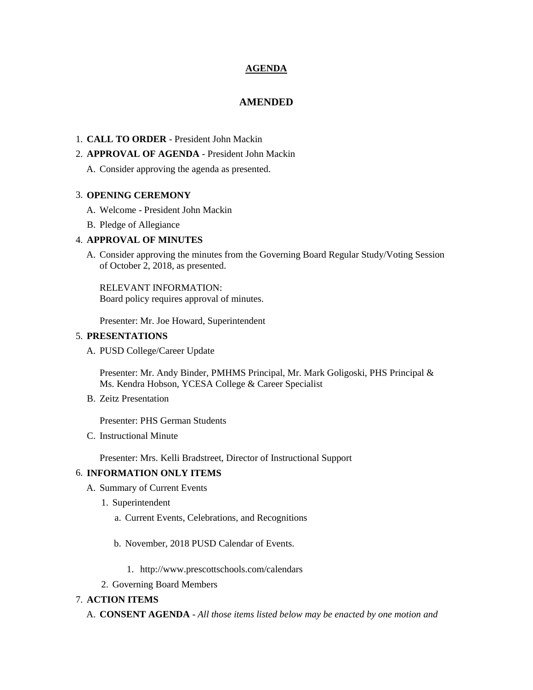## **AGENDA**

# **AMENDED**

# 1. **CALL TO ORDER** - President John Mackin

## 2. **APPROVAL OF AGENDA** - President John Mackin

A. Consider approving the agenda as presented.

### 3. **OPENING CEREMONY**

- A. Welcome President John Mackin
- B. Pledge of Allegiance

## 4. **APPROVAL OF MINUTES**

A. Consider approving the minutes from the Governing Board Regular Study/Voting Session of October 2, 2018, as presented.

RELEVANT INFORMATION: Board policy requires approval of minutes.

Presenter: Mr. Joe Howard, Superintendent

### 5. **PRESENTATIONS**

A. PUSD College/Career Update

Presenter: Mr. Andy Binder, PMHMS Principal, Mr. Mark Goligoski, PHS Principal & Ms. Kendra Hobson, YCESA College & Career Specialist

B. Zeitz Presentation

Presenter: PHS German Students

C. Instructional Minute

Presenter: Mrs. Kelli Bradstreet, Director of Instructional Support

## 6. **INFORMATION ONLY ITEMS**

- A. Summary of Current Events
	- 1. Superintendent
		- a. Current Events, Celebrations, and Recognitions
		- b. November, 2018 PUSD Calendar of Events.
			- 1. http://www.prescottschools.com/calendars
	- 2. Governing Board Members

# 7. **ACTION ITEMS**

A. **CONSENT AGENDA** - *All those items listed below may be enacted by one motion and*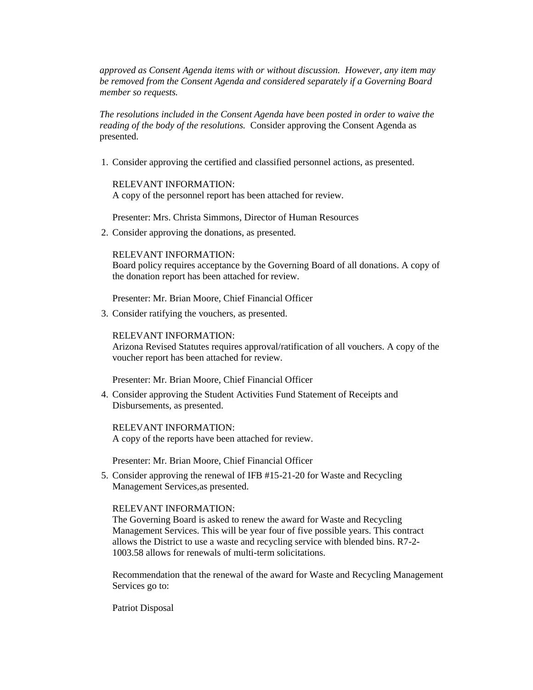*approved as Consent Agenda items with or without discussion. However, any item may be removed from the Consent Agenda and considered separately if a Governing Board member so requests.*

*The resolutions included in the Consent Agenda have been posted in order to waive the reading of the body of the resolutions.* Consider approving the Consent Agenda as presented.

1. Consider approving the certified and classified personnel actions, as presented.

RELEVANT INFORMATION: A copy of the personnel report has been attached for review.

Presenter: Mrs. Christa Simmons, Director of Human Resources

2. Consider approving the donations, as presented.

RELEVANT INFORMATION:

Board policy requires acceptance by the Governing Board of all donations. A copy of the donation report has been attached for review.

Presenter: Mr. Brian Moore, Chief Financial Officer

3. Consider ratifying the vouchers, as presented.

RELEVANT INFORMATION:

Arizona Revised Statutes requires approval/ratification of all vouchers. A copy of the voucher report has been attached for review.

Presenter: Mr. Brian Moore, Chief Financial Officer

4. Consider approving the Student Activities Fund Statement of Receipts and Disbursements, as presented.

RELEVANT INFORMATION: A copy of the reports have been attached for review.

Presenter: Mr. Brian Moore, Chief Financial Officer

5. Consider approving the renewal of IFB #15-21-20 for Waste and Recycling Management Services,as presented.

#### RELEVANT INFORMATION:

The Governing Board is asked to renew the award for Waste and Recycling Management Services. This will be year four of five possible years. This contract allows the District to use a waste and recycling service with blended bins. R7-2- 1003.58 allows for renewals of multi-term solicitations.

Recommendation that the renewal of the award for Waste and Recycling Management Services go to:

Patriot Disposal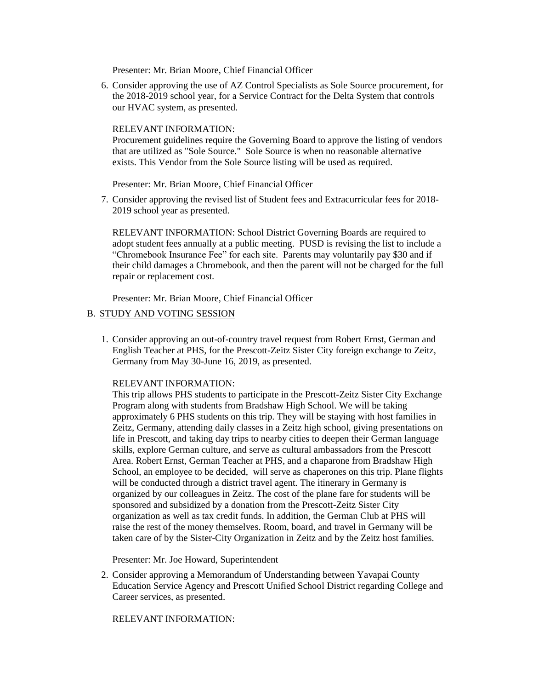Presenter: Mr. Brian Moore, Chief Financial Officer

6. Consider approving the use of AZ Control Specialists as Sole Source procurement, for the 2018-2019 school year, for a Service Contract for the Delta System that controls our HVAC system, as presented.

#### RELEVANT INFORMATION:

Procurement guidelines require the Governing Board to approve the listing of vendors that are utilized as "Sole Source." Sole Source is when no reasonable alternative exists. This Vendor from the Sole Source listing will be used as required.

#### Presenter: Mr. Brian Moore, Chief Financial Officer

7. Consider approving the revised list of Student fees and Extracurricular fees for 2018- 2019 school year as presented.

RELEVANT INFORMATION: School District Governing Boards are required to adopt student fees annually at a public meeting. PUSD is revising the list to include a "Chromebook Insurance Fee" for each site. Parents may voluntarily pay \$30 and if their child damages a Chromebook, and then the parent will not be charged for the full repair or replacement cost.

Presenter: Mr. Brian Moore, Chief Financial Officer

### B. STUDY AND VOTING SESSION

1. Consider approving an out-of-country travel request from Robert Ernst, German and English Teacher at PHS, for the Prescott-Zeitz Sister City foreign exchange to Zeitz, Germany from May 30-June 16, 2019, as presented.

#### RELEVANT INFORMATION:

This trip allows PHS students to participate in the Prescott-Zeitz Sister City Exchange Program along with students from Bradshaw High School. We will be taking approximately 6 PHS students on this trip. They will be staying with host families in Zeitz, Germany, attending daily classes in a Zeitz high school, giving presentations on life in Prescott, and taking day trips to nearby cities to deepen their German language skills, explore German culture, and serve as cultural ambassadors from the Prescott Area. Robert Ernst, German Teacher at PHS, and a chaparone from Bradshaw High School, an employee to be decided, will serve as chaperones on this trip. Plane flights will be conducted through a district travel agent. The itinerary in Germany is organized by our colleagues in Zeitz. The cost of the plane fare for students will be sponsored and subsidized by a donation from the Prescott-Zeitz Sister City organization as well as tax credit funds. In addition, the German Club at PHS will raise the rest of the money themselves. Room, board, and travel in Germany will be taken care of by the Sister-City Organization in Zeitz and by the Zeitz host families.

Presenter: Mr. Joe Howard, Superintendent

2. Consider approving a Memorandum of Understanding between Yavapai County Education Service Agency and Prescott Unified School District regarding College and Career services, as presented.

RELEVANT INFORMATION: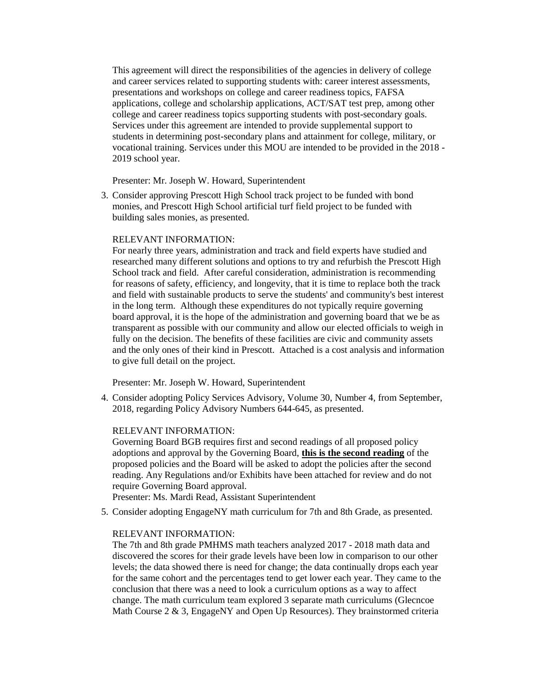This agreement will direct the responsibilities of the agencies in delivery of college and career services related to supporting students with: career interest assessments, presentations and workshops on college and career readiness topics, FAFSA applications, college and scholarship applications, ACT/SAT test prep, among other college and career readiness topics supporting students with post-secondary goals. Services under this agreement are intended to provide supplemental support to students in determining post-secondary plans and attainment for college, military, or vocational training. Services under this MOU are intended to be provided in the 2018 - 2019 school year.

Presenter: Mr. Joseph W. Howard, Superintendent

3. Consider approving Prescott High School track project to be funded with bond monies, and Prescott High School artificial turf field project to be funded with building sales monies, as presented.

### RELEVANT INFORMATION:

For nearly three years, administration and track and field experts have studied and researched many different solutions and options to try and refurbish the Prescott High School track and field. After careful consideration, administration is recommending for reasons of safety, efficiency, and longevity, that it is time to replace both the track and field with sustainable products to serve the students' and community's best interest in the long term. Although these expenditures do not typically require governing board approval, it is the hope of the administration and governing board that we be as transparent as possible with our community and allow our elected officials to weigh in fully on the decision. The benefits of these facilities are civic and community assets and the only ones of their kind in Prescott. Attached is a cost analysis and information to give full detail on the project.

Presenter: Mr. Joseph W. Howard, Superintendent

4. Consider adopting Policy Services Advisory, Volume 30, Number 4, from September, 2018, regarding Policy Advisory Numbers 644-645, as presented.

#### RELEVANT INFORMATION:

Governing Board BGB requires first and second readings of all proposed policy adoptions and approval by the Governing Board, **this is the second reading** of the proposed policies and the Board will be asked to adopt the policies after the second reading. Any Regulations and/or Exhibits have been attached for review and do not require Governing Board approval.

Presenter: Ms. Mardi Read, Assistant Superintendent

5. Consider adopting EngageNY math curriculum for 7th and 8th Grade, as presented.

#### RELEVANT INFORMATION:

The 7th and 8th grade PMHMS math teachers analyzed 2017 - 2018 math data and discovered the scores for their grade levels have been low in comparison to our other levels; the data showed there is need for change; the data continually drops each year for the same cohort and the percentages tend to get lower each year. They came to the conclusion that there was a need to look a curriculum options as a way to affect change. The math curriculum team explored 3 separate math curriculums (Glecncoe Math Course  $2 \& 3$ , EngageNY and Open Up Resources). They brainstormed criteria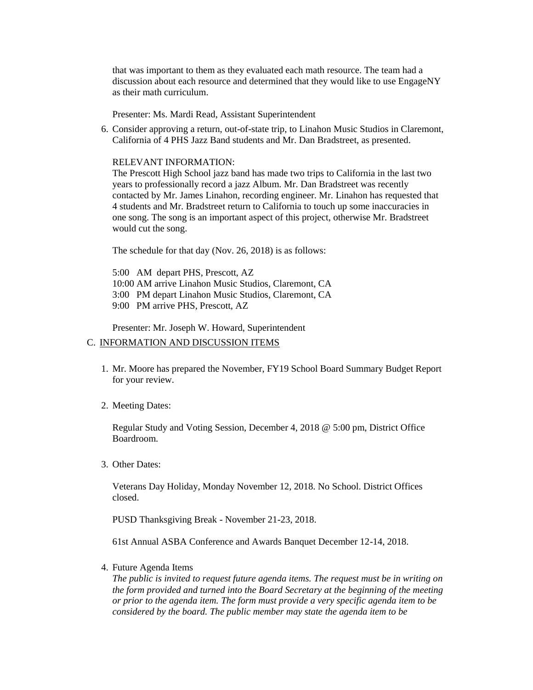that was important to them as they evaluated each math resource. The team had a discussion about each resource and determined that they would like to use EngageNY as their math curriculum.

Presenter: Ms. Mardi Read, Assistant Superintendent

6. Consider approving a return, out-of-state trip, to Linahon Music Studios in Claremont, California of 4 PHS Jazz Band students and Mr. Dan Bradstreet, as presented.

#### RELEVANT INFORMATION:

The Prescott High School jazz band has made two trips to California in the last two years to professionally record a jazz Album. Mr. Dan Bradstreet was recently contacted by Mr. James Linahon, recording engineer. Mr. Linahon has requested that 4 students and Mr. Bradstreet return to California to touch up some inaccuracies in one song. The song is an important aspect of this project, otherwise Mr. Bradstreet would cut the song.

The schedule for that day (Nov. 26, 2018) is as follows:

- 5:00 AM depart PHS, Prescott, AZ
- 10:00 AM arrive Linahon Music Studios, Claremont, CA
- 3:00 PM depart Linahon Music Studios, Claremont, CA
- 9:00 PM arrive PHS, Prescott, AZ

Presenter: Mr. Joseph W. Howard, Superintendent

#### C. INFORMATION AND DISCUSSION ITEMS

- 1. Mr. Moore has prepared the November, FY19 School Board Summary Budget Report for your review.
- 2. Meeting Dates:

Regular Study and Voting Session, December 4, 2018 @ 5:00 pm, District Office Boardroom.

3. Other Dates:

Veterans Day Holiday, Monday November 12, 2018. No School. District Offices closed.

PUSD Thanksgiving Break - November 21-23, 2018.

61st Annual ASBA Conference and Awards Banquet December 12-14, 2018.

4. Future Agenda Items

*The public is invited to request future agenda items. The request must be in writing on the form provided and turned into the Board Secretary at the beginning of the meeting or prior to the agenda item. The form must provide a very specific agenda item to be considered by the board. The public member may state the agenda item to be*